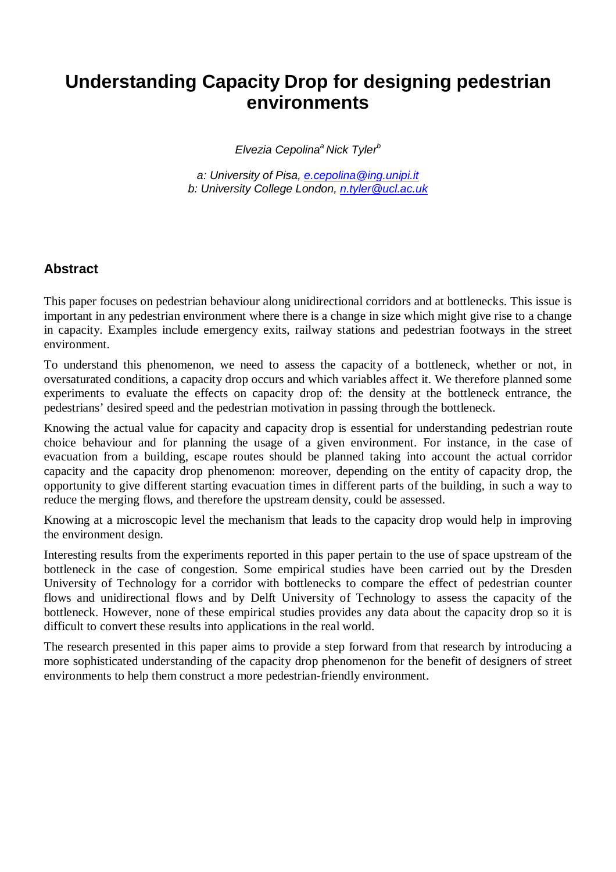# **Understanding Capacity Drop for designing pedestrian environments**

Elvezia Cepolina<sup>a</sup> Nick Tyler<sup>b</sup>

a: University of Pisa, e.cepolina@ing.unipi.it b: University College London, n.tyler@ucl.ac.uk

### **Abstract**

This paper focuses on pedestrian behaviour along unidirectional corridors and at bottlenecks. This issue is important in any pedestrian environment where there is a change in size which might give rise to a change in capacity. Examples include emergency exits, railway stations and pedestrian footways in the street environment.

To understand this phenomenon, we need to assess the capacity of a bottleneck, whether or not, in oversaturated conditions, a capacity drop occurs and which variables affect it. We therefore planned some experiments to evaluate the effects on capacity drop of: the density at the bottleneck entrance, the pedestrians' desired speed and the pedestrian motivation in passing through the bottleneck.

Knowing the actual value for capacity and capacity drop is essential for understanding pedestrian route choice behaviour and for planning the usage of a given environment. For instance, in the case of evacuation from a building, escape routes should be planned taking into account the actual corridor capacity and the capacity drop phenomenon: moreover, depending on the entity of capacity drop, the opportunity to give different starting evacuation times in different parts of the building, in such a way to reduce the merging flows, and therefore the upstream density, could be assessed.

Knowing at a microscopic level the mechanism that leads to the capacity drop would help in improving the environment design.

Interesting results from the experiments reported in this paper pertain to the use of space upstream of the bottleneck in the case of congestion. Some empirical studies have been carried out by the Dresden University of Technology for a corridor with bottlenecks to compare the effect of pedestrian counter flows and unidirectional flows and by Delft University of Technology to assess the capacity of the bottleneck. However, none of these empirical studies provides any data about the capacity drop so it is difficult to convert these results into applications in the real world.

The research presented in this paper aims to provide a step forward from that research by introducing a more sophisticated understanding of the capacity drop phenomenon for the benefit of designers of street environments to help them construct a more pedestrian-friendly environment.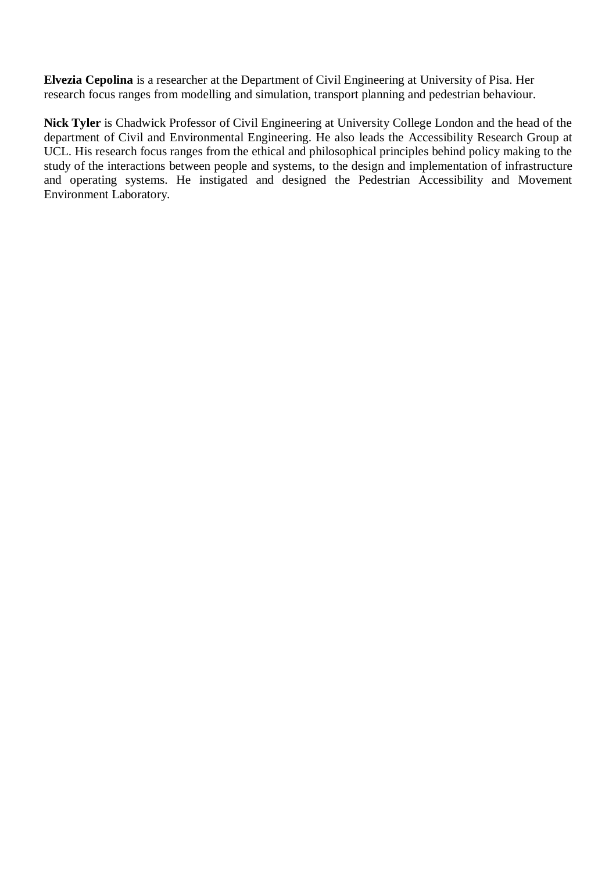**Elvezia Cepolina** is a researcher at the Department of Civil Engineering at University of Pisa. Her research focus ranges from modelling and simulation, transport planning and pedestrian behaviour.

**Nick Tyler** is Chadwick Professor of Civil Engineering at University College London and the head of the department of Civil and Environmental Engineering. He also leads the Accessibility Research Group at UCL. His research focus ranges from the ethical and philosophical principles behind policy making to the study of the interactions between people and systems, to the design and implementation of infrastructure and operating systems. He instigated and designed the Pedestrian Accessibility and Movement Environment Laboratory.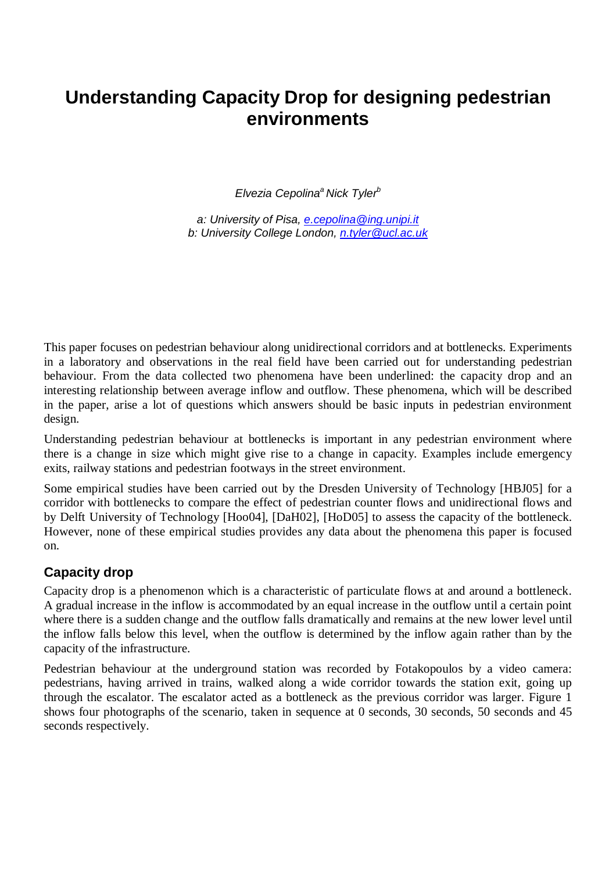# **Understanding Capacity Drop for designing pedestrian environments**

Elvezia Cepolina<sup>a</sup> Nick Tyler<sup>b</sup>

a: University of Pisa, e.cepolina@ing.unipi.it b: University College London, n.tyler@ucl.ac.uk

This paper focuses on pedestrian behaviour along unidirectional corridors and at bottlenecks. Experiments in a laboratory and observations in the real field have been carried out for understanding pedestrian behaviour. From the data collected two phenomena have been underlined: the capacity drop and an interesting relationship between average inflow and outflow. These phenomena, which will be described in the paper, arise a lot of questions which answers should be basic inputs in pedestrian environment design.

Understanding pedestrian behaviour at bottlenecks is important in any pedestrian environment where there is a change in size which might give rise to a change in capacity. Examples include emergency exits, railway stations and pedestrian footways in the street environment.

Some empirical studies have been carried out by the Dresden University of Technology [HBJ05] for a corridor with bottlenecks to compare the effect of pedestrian counter flows and unidirectional flows and by Delft University of Technology [Hoo04], [DaH02], [HoD05] to assess the capacity of the bottleneck. However, none of these empirical studies provides any data about the phenomena this paper is focused on.

#### **Capacity drop**

Capacity drop is a phenomenon which is a characteristic of particulate flows at and around a bottleneck. A gradual increase in the inflow is accommodated by an equal increase in the outflow until a certain point where there is a sudden change and the outflow falls dramatically and remains at the new lower level until the inflow falls below this level, when the outflow is determined by the inflow again rather than by the capacity of the infrastructure.

Pedestrian behaviour at the underground station was recorded by Fotakopoulos by a video camera: pedestrians, having arrived in trains, walked along a wide corridor towards the station exit, going up through the escalator. The escalator acted as a bottleneck as the previous corridor was larger. Figure 1 shows four photographs of the scenario, taken in sequence at 0 seconds, 30 seconds, 50 seconds and 45 seconds respectively.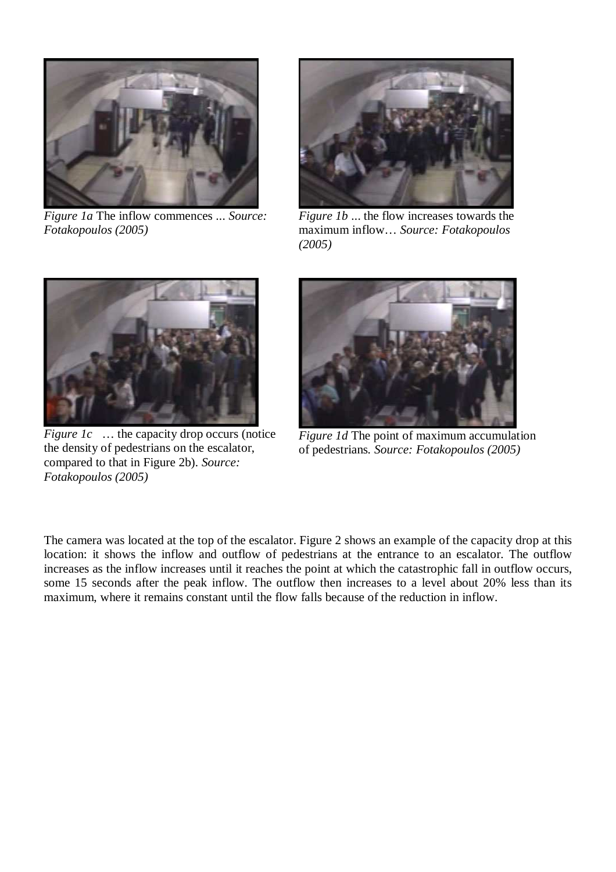

*Figure 1a* The inflow commences ... *Source: Fotakopoulos (2005)* 



*Figure 1b* ... the flow increases towards the maximum inflow… *Source: Fotakopoulos (2005)* 



*Figure 1c* ... the capacity drop occurs (notice the density of pedestrians on the escalator, compared to that in Figure 2b). *Source: Fotakopoulos (2005)* 



*Figure 1d* The point of maximum accumulation of pedestrians*. Source: Fotakopoulos (2005)* 

The camera was located at the top of the escalator. Figure 2 shows an example of the capacity drop at this location: it shows the inflow and outflow of pedestrians at the entrance to an escalator. The outflow increases as the inflow increases until it reaches the point at which the catastrophic fall in outflow occurs, some 15 seconds after the peak inflow. The outflow then increases to a level about 20% less than its maximum, where it remains constant until the flow falls because of the reduction in inflow.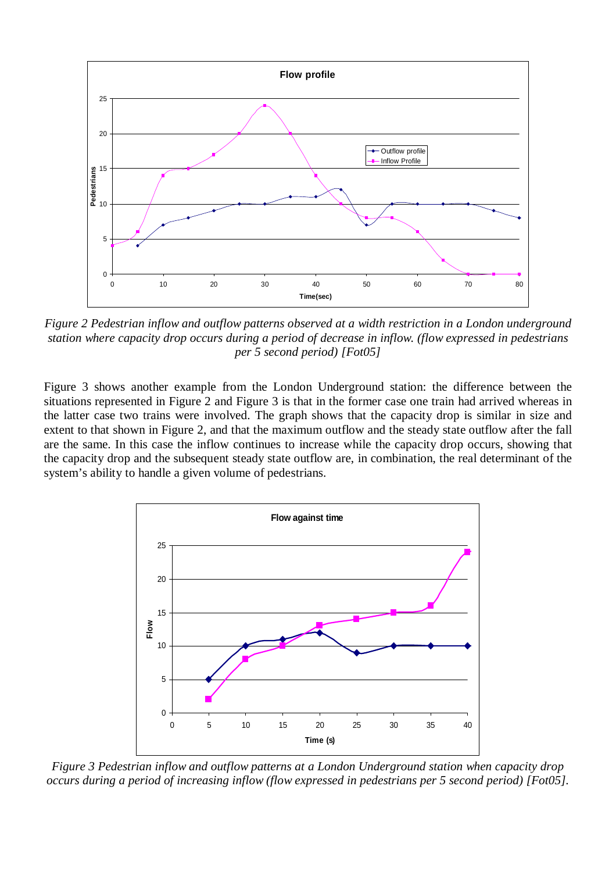

*Figure 2 Pedestrian inflow and outflow patterns observed at a width restriction in a London underground station where capacity drop occurs during a period of decrease in inflow. (flow expressed in pedestrians per 5 second period) [Fot05]* 

Figure 3 shows another example from the London Underground station: the difference between the situations represented in Figure 2 and Figure 3 is that in the former case one train had arrived whereas in the latter case two trains were involved. The graph shows that the capacity drop is similar in size and extent to that shown in Figure 2, and that the maximum outflow and the steady state outflow after the fall are the same. In this case the inflow continues to increase while the capacity drop occurs, showing that the capacity drop and the subsequent steady state outflow are, in combination, the real determinant of the system's ability to handle a given volume of pedestrians.



*Figure 3 Pedestrian inflow and outflow patterns at a London Underground station when capacity drop occurs during a period of increasing inflow (flow expressed in pedestrians per 5 second period) [Fot05].*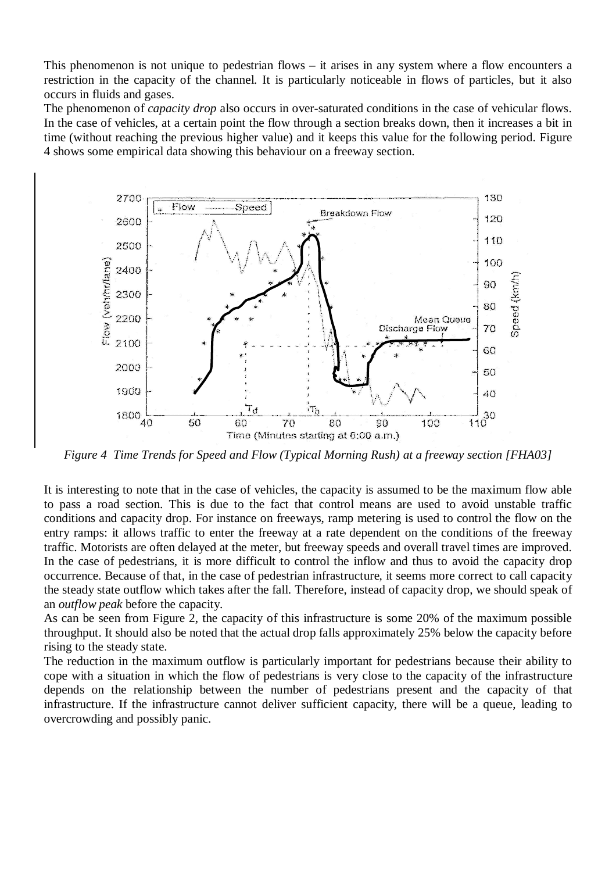This phenomenon is not unique to pedestrian flows – it arises in any system where a flow encounters a restriction in the capacity of the channel. It is particularly noticeable in flows of particles, but it also occurs in fluids and gases.

The phenomenon of *capacity drop* also occurs in over-saturated conditions in the case of vehicular flows. In the case of vehicles, at a certain point the flow through a section breaks down, then it increases a bit in time (without reaching the previous higher value) and it keeps this value for the following period. Figure 4 shows some empirical data showing this behaviour on a freeway section.



*Figure 4 Time Trends for Speed and Flow (Typical Morning Rush) at a freeway section [FHA03]* 

It is interesting to note that in the case of vehicles, the capacity is assumed to be the maximum flow able to pass a road section. This is due to the fact that control means are used to avoid unstable traffic conditions and capacity drop. For instance on freeways, ramp metering is used to control the flow on the entry ramps: it allows traffic to enter the freeway at a rate dependent on the conditions of the freeway traffic. Motorists are often delayed at the meter, but freeway speeds and overall travel times are improved. In the case of pedestrians, it is more difficult to control the inflow and thus to avoid the capacity drop occurrence. Because of that, in the case of pedestrian infrastructure, it seems more correct to call capacity the steady state outflow which takes after the fall. Therefore, instead of capacity drop, we should speak of an *outflow peak* before the capacity.

As can be seen from Figure 2, the capacity of this infrastructure is some 20% of the maximum possible throughput. It should also be noted that the actual drop falls approximately 25% below the capacity before rising to the steady state.

The reduction in the maximum outflow is particularly important for pedestrians because their ability to cope with a situation in which the flow of pedestrians is very close to the capacity of the infrastructure depends on the relationship between the number of pedestrians present and the capacity of that infrastructure. If the infrastructure cannot deliver sufficient capacity, there will be a queue, leading to overcrowding and possibly panic.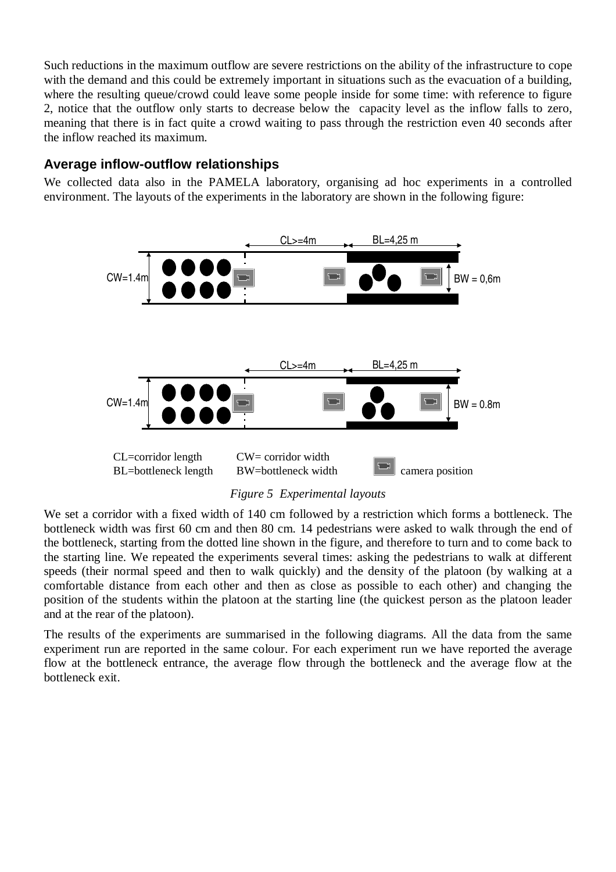Such reductions in the maximum outflow are severe restrictions on the ability of the infrastructure to cope with the demand and this could be extremely important in situations such as the evacuation of a building, where the resulting queue/crowd could leave some people inside for some time: with reference to figure 2, notice that the outflow only starts to decrease below the capacity level as the inflow falls to zero, meaning that there is in fact quite a crowd waiting to pass through the restriction even 40 seconds after the inflow reached its maximum.

#### **Average inflow-outflow relationships**

We collected data also in the PAMELA laboratory, organising ad hoc experiments in a controlled environment. The layouts of the experiments in the laboratory are shown in the following figure:



*Figure 5 Experimental layouts* 

We set a corridor with a fixed width of 140 cm followed by a restriction which forms a bottleneck. The bottleneck width was first 60 cm and then 80 cm. 14 pedestrians were asked to walk through the end of the bottleneck, starting from the dotted line shown in the figure, and therefore to turn and to come back to the starting line. We repeated the experiments several times: asking the pedestrians to walk at different speeds (their normal speed and then to walk quickly) and the density of the platoon (by walking at a comfortable distance from each other and then as close as possible to each other) and changing the position of the students within the platoon at the starting line (the quickest person as the platoon leader and at the rear of the platoon).

The results of the experiments are summarised in the following diagrams. All the data from the same experiment run are reported in the same colour. For each experiment run we have reported the average flow at the bottleneck entrance, the average flow through the bottleneck and the average flow at the bottleneck exit.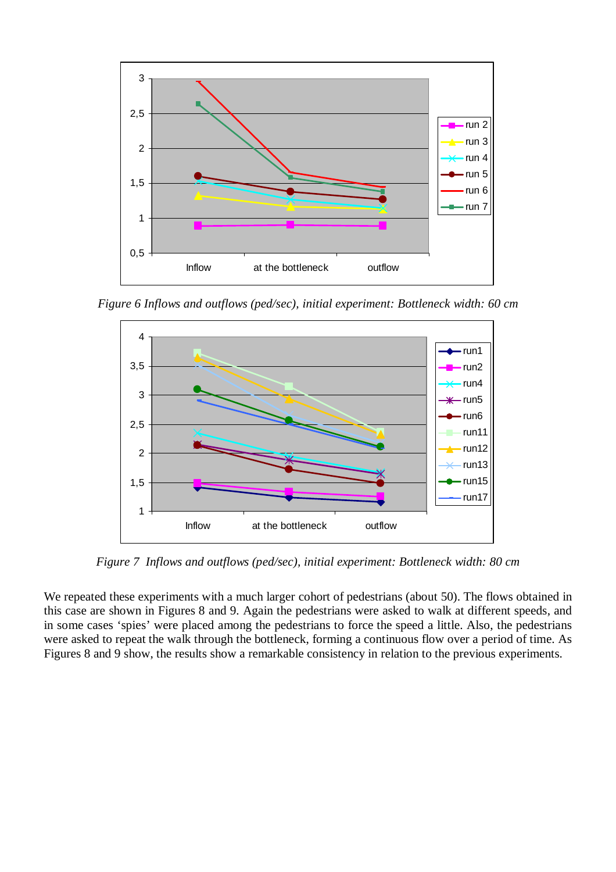

*Figure 6 Inflows and outflows (ped/sec), initial experiment: Bottleneck width: 60 cm* 



*Figure 7 Inflows and outflows (ped/sec), initial experiment: Bottleneck width: 80 cm* 

We repeated these experiments with a much larger cohort of pedestrians (about 50). The flows obtained in this case are shown in Figures 8 and 9. Again the pedestrians were asked to walk at different speeds, and in some cases 'spies' were placed among the pedestrians to force the speed a little. Also, the pedestrians were asked to repeat the walk through the bottleneck, forming a continuous flow over a period of time. As Figures 8 and 9 show, the results show a remarkable consistency in relation to the previous experiments.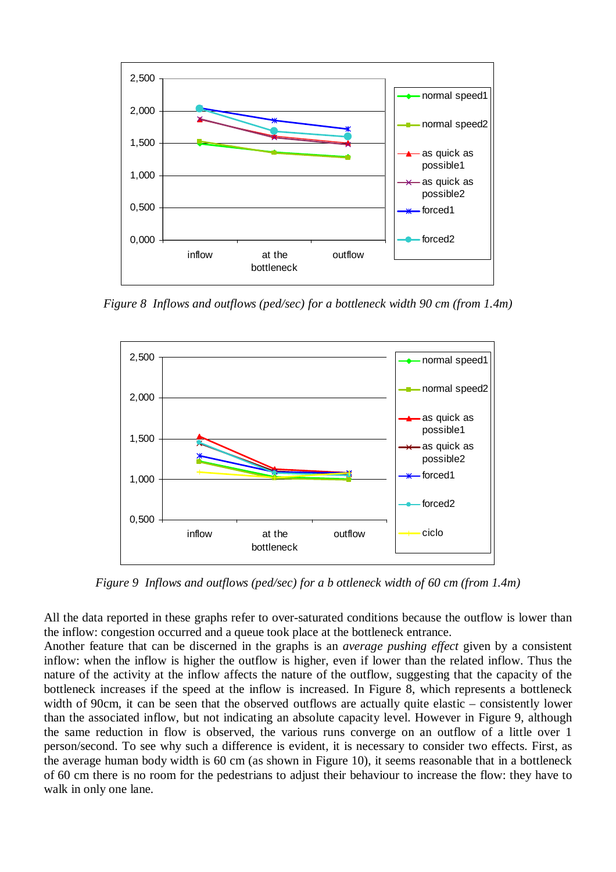

*Figure 8 Inflows and outflows (ped/sec) for a bottleneck width 90 cm (from 1.4m)* 



*Figure 9 Inflows and outflows (ped/sec) for a b ottleneck width of 60 cm (from 1.4m)* 

All the data reported in these graphs refer to over-saturated conditions because the outflow is lower than the inflow: congestion occurred and a queue took place at the bottleneck entrance.

Another feature that can be discerned in the graphs is an *average pushing effect* given by a consistent inflow: when the inflow is higher the outflow is higher, even if lower than the related inflow. Thus the nature of the activity at the inflow affects the nature of the outflow, suggesting that the capacity of the bottleneck increases if the speed at the inflow is increased. In Figure 8, which represents a bottleneck width of 90cm, it can be seen that the observed outflows are actually quite elastic – consistently lower than the associated inflow, but not indicating an absolute capacity level. However in Figure 9, although the same reduction in flow is observed, the various runs converge on an outflow of a little over 1 person/second. To see why such a difference is evident, it is necessary to consider two effects. First, as the average human body width is 60 cm (as shown in Figure 10), it seems reasonable that in a bottleneck of 60 cm there is no room for the pedestrians to adjust their behaviour to increase the flow: they have to walk in only one lane.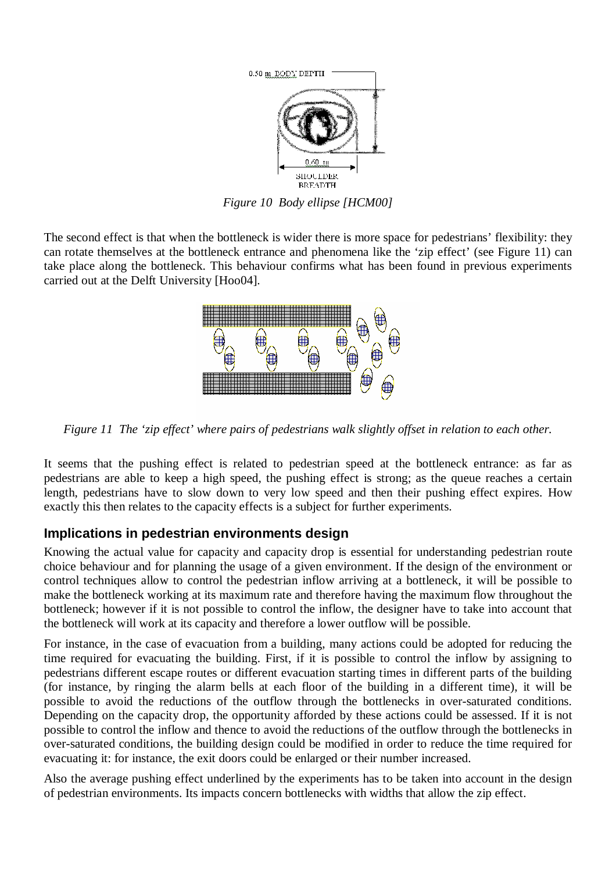

*Figure 10 Body ellipse [HCM00]* 

The second effect is that when the bottleneck is wider there is more space for pedestrians' flexibility: they can rotate themselves at the bottleneck entrance and phenomena like the 'zip effect' (see Figure 11) can take place along the bottleneck. This behaviour confirms what has been found in previous experiments carried out at the Delft University [Hoo04].



*Figure 11 The 'zip effect' where pairs of pedestrians walk slightly offset in relation to each other.* 

It seems that the pushing effect is related to pedestrian speed at the bottleneck entrance: as far as pedestrians are able to keep a high speed, the pushing effect is strong; as the queue reaches a certain length, pedestrians have to slow down to very low speed and then their pushing effect expires. How exactly this then relates to the capacity effects is a subject for further experiments.

#### **Implications in pedestrian environments design**

Knowing the actual value for capacity and capacity drop is essential for understanding pedestrian route choice behaviour and for planning the usage of a given environment. If the design of the environment or control techniques allow to control the pedestrian inflow arriving at a bottleneck, it will be possible to make the bottleneck working at its maximum rate and therefore having the maximum flow throughout the bottleneck; however if it is not possible to control the inflow, the designer have to take into account that the bottleneck will work at its capacity and therefore a lower outflow will be possible.

For instance, in the case of evacuation from a building, many actions could be adopted for reducing the time required for evacuating the building. First, if it is possible to control the inflow by assigning to pedestrians different escape routes or different evacuation starting times in different parts of the building (for instance, by ringing the alarm bells at each floor of the building in a different time), it will be possible to avoid the reductions of the outflow through the bottlenecks in over-saturated conditions. Depending on the capacity drop, the opportunity afforded by these actions could be assessed. If it is not possible to control the inflow and thence to avoid the reductions of the outflow through the bottlenecks in over-saturated conditions, the building design could be modified in order to reduce the time required for evacuating it: for instance, the exit doors could be enlarged or their number increased.

Also the average pushing effect underlined by the experiments has to be taken into account in the design of pedestrian environments. Its impacts concern bottlenecks with widths that allow the zip effect.